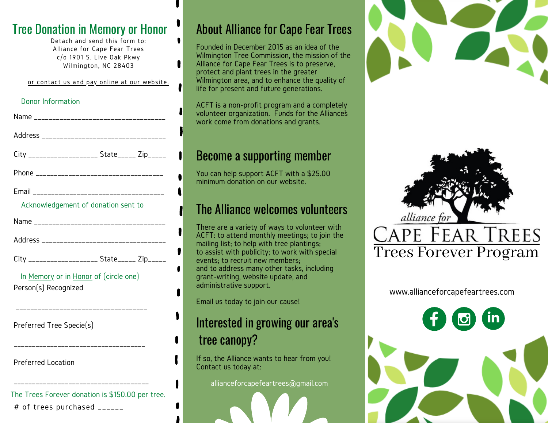#### Tree Donation in Memory or Honor

Detach and send this form to: Alliance for Cape Fear Trees c/o 1901 S. Live Oak Pkwy Wilmington, NC 28403

 $\bullet$ 

or contact us and pay online at our website.

# Donor Information

| City ____________________ State_____ Zip_____                 |                             |  |
|---------------------------------------------------------------|-----------------------------|--|
|                                                               |                             |  |
| Acknowledgement of donation sent to                           |                             |  |
|                                                               |                             |  |
|                                                               |                             |  |
| City ____________________ State______ Zip_____                |                             |  |
| In Memory or in Honor of (circle one)<br>Person(s) Recognized |                             |  |
| Preferred Tree Specie(s)                                      | --------------------------- |  |

Preferred Location

The Trees Forever donation is \$150.00 per tree. # of trees purchased \_\_\_\_\_\_

\_\_\_\_\_\_\_\_\_\_\_\_\_\_\_\_\_\_\_\_\_\_\_\_\_\_\_\_\_\_\_\_\_\_\_\_

\_\_\_\_\_\_\_\_\_\_\_\_\_\_\_\_\_\_\_\_\_\_\_\_\_\_\_\_\_\_\_\_\_\_\_\_\_

# About Alliance for Cape Fear Trees

Founded in December 2015 as an idea of the Wilmington Tree Commission, the mission of the Alliance for Cape Fear Trees is to preserve, protect and plant trees in the greater Wilmington area, and to enhance the quality of life for present and future generations.

ACFT is a non-profit program and a completely volunteer organization. Funds for the Alliance's work come from donations and grants.

#### Become a supporting member

You can help support ACFT with a \$25.00 minimum donation on our website.

### The Alliance welcomes volunteers

There are a variety of ways to volunteer with ACFT: to attend monthly meetings; to join the mailing list; to help with tree plantings; to assist with publicity; to work with special events; to recruit new members; and to address many other tasks, including grant-writing, website update, and administrative support.

Email us today to join our cause!

### Interested in growing our area's tree canopy?

If so, the Alliance wants to hear from you! Contact us today at:

allianceforcapefeartrees@gmail.com





www.allianceforcapefeartrees.com